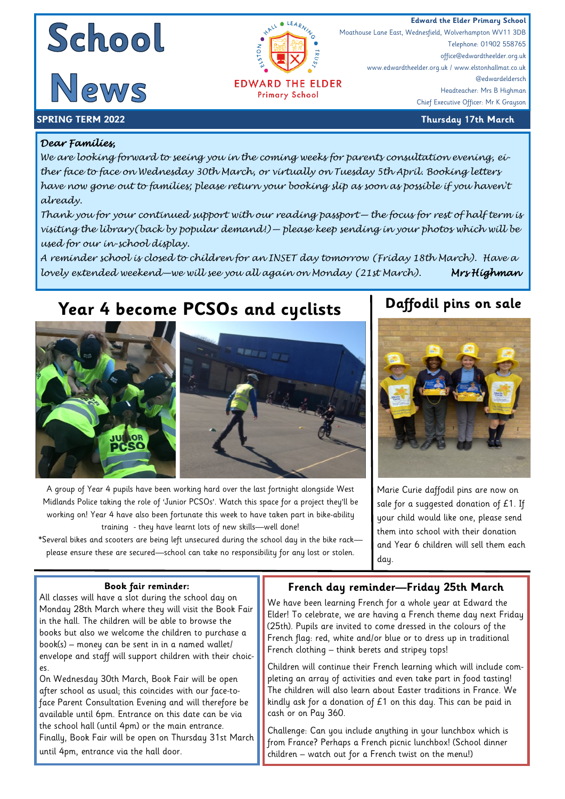



**EDWARD THE ELDER Primary School** 

**Edward the Elder Primary School**<br> **Edward the Elder Primary School**<br>
Moathouse Lane East, Wednesfield, Wolverhampton WV11 3DB Moathouse Lane East, Wednesfield, Wolverhampton WV11 3DB Telephone: 01902 558765 office@edwardtheelder.org.uk www.edwardtheelder.org.uk / www.elstonhallmat.co.uk @edwardeldersch Headteacher: Mrs B Highman Chief Executive Officer: Mr K Grayson

### **SPRING TERM 2022 Thursday 17th March**

## *Dear Families,*

*We are looking forward to seeing you in the coming weeks for parents consultation evening, either face to face on Wednesday 30th March, or virtually on Tuesday 5th April. Booking letters have now gone out to families; please return your booking slip as soon as possible if you haven't already.* 

*Thank you for your continued support with our reading passport— the focus for rest of half term is visiting the library(back by popular demand!)— please keep sending in your photos which will be used for our in-school display.* 

*A reminder school is closed to children for an INSET day tomorrow (Friday 18th March). Have a lovely extended weekend—we will see you all again on Monday (21st March). Mrs Highman* 

# **Year 4 become PCSOs and cyclists**



A group of Year 4 pupils have been working hard over the last fortnight alongside West Midlands Police taking the role of 'Junior PCSOs'. Watch this space for a project they'll be working on! Year 4 have also been fortunate this week to have taken part in bike-ability training - they have learnt lots of new skills—well done!

\*Several bikes and scooters are being left unsecured during the school day in the bike rack please ensure these are secured—school can take no responsibility for any lost or stolen.

## **Daffodil pins on sale**



Marie Curie daffodil pins are now on sale for a suggested donation of £1. If your child would like one, please send them into school with their donation and Year 6 children will sell them each day.

### **Book fair reminder:**

All classes will have a slot during the school day on Monday 28th March where they will visit the Book Fair in the hall. The children will be able to browse the books but also we welcome the children to purchase a book(s) – money can be sent in in a named wallet/ envelope and staff will support children with their choices.

On Wednesday 30th March, Book Fair will be open after school as usual; this coincides with our face-toface Parent Consultation Evening and will therefore be available until 6pm. Entrance on this date can be via the school hall (until 4pm) or the main entrance. Finally, Book Fair will be open on Thursday 31st March until 4pm, entrance via the hall door.

### **French day reminder—Friday 25th March**

We have been learning French for a whole year at Edward the Elder! To celebrate, we are having a French theme day next Friday (25th). Pupils are invited to come dressed in the colours of the French flag: red, white and/or blue or to dress up in traditional French clothing – think berets and stripey tops!

Children will continue their French learning which will include completing an array of activities and even take part in food tasting! The children will also learn about Easter traditions in France. We kindly ask for a donation of  $E1$  on this day. This can be paid in cash or on Pay 360.

Challenge: Can you include anything in your lunchbox which is from France? Perhaps a French picnic lunchbox! (School dinner children – watch out for a French twist on the menu!)